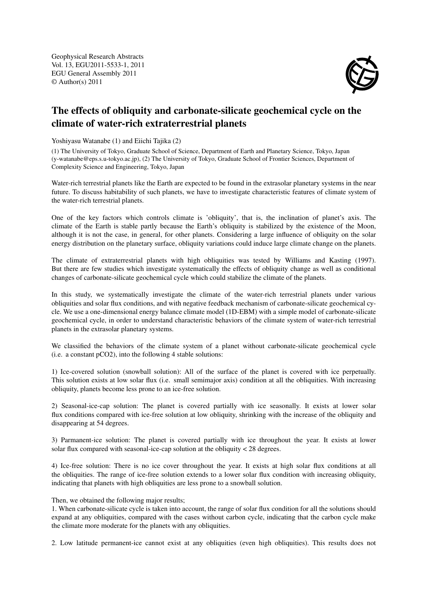Geophysical Research Abstracts Vol. 13, EGU2011-5533-1, 2011 EGU General Assembly 2011 © Author(s) 2011



## The effects of obliquity and carbonate-silicate geochemical cycle on the climate of water-rich extraterrestrial planets

Yoshiyasu Watanabe (1) and Eiichi Tajika (2)

(1) The University of Tokyo, Graduate School of Science, Department of Earth and Planetary Science, Tokyo, Japan (y-watanabe@eps.s.u-tokyo.ac.jp), (2) The University of Tokyo, Graduate School of Frontier Sciences, Department of Complexity Science and Engineering, Tokyo, Japan

Water-rich terrestrial planets like the Earth are expected to be found in the extrasolar planetary systems in the near future. To discuss habitability of such planets, we have to investigate characteristic features of climate system of the water-rich terrestrial planets.

One of the key factors which controls climate is 'obliquity', that is, the inclination of planet's axis. The climate of the Earth is stable partly because the Earth's obliquity is stabilized by the existence of the Moon, although it is not the case, in general, for other planets. Considering a large influence of obliquity on the solar energy distribution on the planetary surface, obliquity variations could induce large climate change on the planets.

The climate of extraterrestrial planets with high obliquities was tested by Williams and Kasting (1997). But there are few studies which investigate systematically the effects of obliquity change as well as conditional changes of carbonate-silicate geochemical cycle which could stabilize the climate of the planets.

In this study, we systematically investigate the climate of the water-rich terrestrial planets under various obliquities and solar flux conditions, and with negative feedback mechanism of carbonate-silicate geochemical cycle. We use a one-dimensional energy balance climate model (1D-EBM) with a simple model of carbonate-silicate geochemical cycle, in order to understand characteristic behaviors of the climate system of water-rich terrestrial planets in the extrasolar planetary systems.

We classified the behaviors of the climate system of a planet without carbonate-silicate geochemical cycle (i.e. a constant pCO2), into the following 4 stable solutions:

1) Ice-covered solution (snowball solution): All of the surface of the planet is covered with ice perpetually. This solution exists at low solar flux (i.e. small semimajor axis) condition at all the obliquities. With increasing obliquity, planets become less prone to an ice-free solution.

2) Seasonal-ice-cap solution: The planet is covered partially with ice seasonally. It exists at lower solar flux conditions compared with ice-free solution at low obliquity, shrinking with the increase of the obliquity and disappearing at 54 degrees.

3) Parmanent-ice solution: The planet is covered partially with ice throughout the year. It exists at lower solar flux compared with seasonal-ice-cap solution at the obliquity < 28 degrees.

4) Ice-free solution: There is no ice cover throughout the year. It exists at high solar flux conditions at all the obliquities. The range of ice-free solution extends to a lower solar flux condition with increasing obliquity, indicating that planets with high obliquities are less prone to a snowball solution.

Then, we obtained the following major results;

1. When carbonate-silicate cycle is taken into account, the range of solar flux condition for all the solutions should expand at any obliquities, compared with the cases without carbon cycle, indicating that the carbon cycle make the climate more moderate for the planets with any obliquities.

2. Low latitude permanent-ice cannot exist at any obliquities (even high obliquities). This results does not